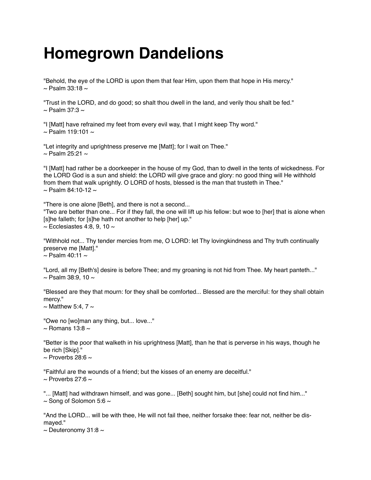## **Homegrown Dandelions**

"Behold, the eye of the LORD is upon them that fear Him, upon them that hope in His mercy."  $\sim$  Psalm 33:18  $\sim$ 

"Trust in the LORD, and do good; so shalt thou dwell in the land, and verily thou shalt be fed."  $\sim$  Psalm 37:3  $\sim$ 

"I [Matt] have refrained my feet from every evil way, that I might keep Thy word."  $\sim$  Psalm 119:101  $\sim$ 

"Let integrity and uprightness preserve me [Matt]; for I wait on Thee."  $\sim$  Psalm 25:21  $\sim$ 

"I [Matt] had rather be a doorkeeper in the house of my God, than to dwell in the tents of wickedness. For the LORD God is a sun and shield: the LORD will give grace and glory: no good thing will He withhold from them that walk uprightly. O LORD of hosts, blessed is the man that trusteth in Thee."  $\sim$  Psalm 84:10-12  $\sim$ 

"There is one alone [Beth], and there is not a second... "Two are better than one... For if they fall, the one will lift up his fellow: but woe to [her] that is alone when [s]he falleth; for [s]he hath not another to help [her] up."  $\sim$  Ecclesiastes 4:8, 9, 10  $\sim$ 

"Withhold not... Thy tender mercies from me, O LORD: let Thy lovingkindness and Thy truth continually preserve me [Matt]."  $\sim$  Psalm 40:11  $\sim$ 

"Lord, all my [Beth's] desire is before Thee; and my groaning is not hid from Thee. My heart panteth..."  $\sim$  Psalm 38:9, 10  $\sim$ 

"Blessed are they that mourn: for they shall be comforted... Blessed are the merciful: for they shall obtain mercy."

 $\sim$  Matthew 5:4, 7  $\sim$ 

"Owe no [wo]man any thing, but... love..."  $\sim$  Romans 13:8  $\sim$ 

"Better is the poor that walketh in his uprightness [Matt], than he that is perverse in his ways, though he be rich [Skip]."  $\sim$  Proverbs 28:6  $\sim$ 

"Faithful are the wounds of a friend; but the kisses of an enemy are deceitful."  $\sim$  Proverbs 27:6  $\sim$ 

"... [Matt] had withdrawn himself, and was gone... [Beth] sought him, but [she] could not find him..."  $\sim$  Song of Solomon 5:6  $\sim$ 

"And the LORD... will be with thee, He will not fail thee, neither forsake thee: fear not, neither be dismayed."

 $\sim$  Deuteronomy 31:8  $\sim$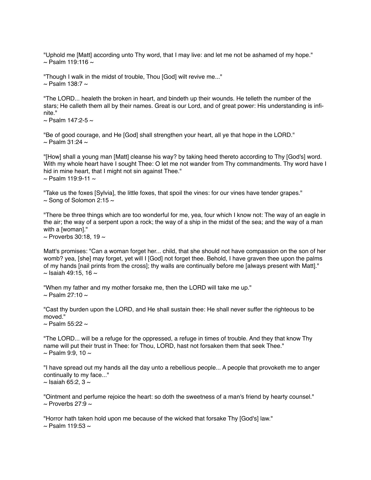"Uphold me [Matt] according unto Thy word, that I may live: and let me not be ashamed of my hope."  $\sim$  Psalm 119:116  $\sim$ 

"Though I walk in the midst of trouble, Thou [God] wilt revive me..."  $\sim$  Psalm 138:7  $\sim$ 

"The LORD... healeth the broken in heart, and bindeth up their wounds. He telleth the number of the stars; He calleth them all by their names. Great is our Lord, and of great power: His understanding is infinite."

 $\sim$  Psalm 147:2-5  $\sim$ 

"Be of good courage, and He [God] shall strengthen your heart, all ye that hope in the LORD."  $\sim$  Psalm 31:24  $\sim$ 

"[How] shall a young man [Matt] cleanse his way? by taking heed thereto according to Thy [God's] word. With my whole heart have I sought Thee: O let me not wander from Thy commandments. Thy word have I hid in mine heart, that I might not sin against Thee."  $\sim$  Psalm 119:9-11  $\sim$ 

"Take us the foxes [Sylvia], the little foxes, that spoil the vines: for our vines have tender grapes."  $\sim$  Song of Solomon 2:15  $\sim$ 

"There be three things which are too wonderful for me, yea, four which I know not: The way of an eagle in the air; the way of a serpent upon a rock; the way of a ship in the midst of the sea; and the way of a man with a [woman]."  $\sim$  Proverbs 30:18, 19  $\sim$ 

Matt's promises: "Can a woman forget her... child, that she should not have compassion on the son of her womb? yea, [she] may forget, yet will I [God] not forget thee. Behold, I have graven thee upon the palms of my hands [nail prints from the cross]; thy walls are continually before me [always present with Matt]."  $\sim$  Isaiah 49:15, 16  $\sim$ 

"When my father and my mother forsake me, then the LORD will take me up."  $\sim$  Psalm 27:10  $\sim$ 

"Cast thy burden upon the LORD, and He shall sustain thee: He shall never suffer the righteous to be moved."

 $\sim$  Psalm 55:22  $\sim$ 

"The LORD... will be a refuge for the oppressed, a refuge in times of trouble. And they that know Thy name will put their trust in Thee: for Thou, LORD, hast not forsaken them that seek Thee."  $\sim$  Psalm 9:9, 10  $\sim$ 

"I have spread out my hands all the day unto a rebellious people... A people that provoketh me to anger continually to my face..."

 $\sim$  Isaiah 65:2, 3  $\sim$ 

"Ointment and perfume rejoice the heart: so doth the sweetness of a man's friend by hearty counsel."  $\sim$  Proverbs 27:9  $\sim$ 

"Horror hath taken hold upon me because of the wicked that forsake Thy [God's] law."  $\sim$  Psalm 119:53  $\sim$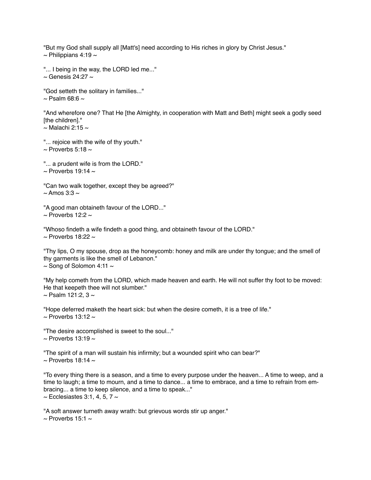"But my God shall supply all [Matt's] need according to His riches in glory by Christ Jesus."  $\sim$  Philippians 4:19  $\sim$ 

"... I being in the way, the LORD led me..."  $\sim$  Genesis 24:27  $\sim$ 

"God setteth the solitary in families..."  $\sim$  Psalm 68:6  $\sim$ 

"And wherefore one? That He [the Almighty, in cooperation with Matt and Beth] might seek a godly seed [the children]."  $\sim$  Malachi 2:15  $\sim$ 

"... rejoice with the wife of thy youth."  $\sim$  Proverbs 5:18  $\sim$ 

"... a prudent wife is from the LORD."  $\sim$  Proverbs 19:14  $\sim$ 

"Can two walk together, except they be agreed?"  $\sim$  Amos 3:3  $\sim$ 

"A good man obtaineth favour of the LORD..."  $\sim$  Proverbs 12:2  $\sim$ 

"Whoso findeth a wife findeth a good thing, and obtaineth favour of the LORD."  $\sim$  Proverbs 18:22  $\sim$ 

"Thy lips, O my spouse, drop as the honeycomb: honey and milk are under thy tongue; and the smell of thy garments is like the smell of Lebanon."  $\sim$  Song of Solomon 4:11  $\sim$ 

"My help cometh from the LORD, which made heaven and earth. He will not suffer thy foot to be moved: He that keepeth thee will not slumber."  $\sim$  Psalm 121:2, 3  $\sim$ 

"Hope deferred maketh the heart sick: but when the desire cometh, it is a tree of life."  $\sim$  Proverbs 13:12  $\sim$ 

"The desire accomplished is sweet to the soul..."  $\sim$  Proverbs 13:19  $\sim$ 

"The spirit of a man will sustain his infirmity; but a wounded spirit who can bear?"  $\sim$  Proverbs 18:14  $\sim$ 

"To every thing there is a season, and a time to every purpose under the heaven... A time to weep, and a time to laugh; a time to mourn, and a time to dance... a time to embrace, and a time to refrain from embracing... a time to keep silence, and a time to speak..."  $\sim$  Ecclesiastes 3:1, 4, 5, 7  $\sim$ 

"A soft answer turneth away wrath: but grievous words stir up anger."  $\sim$  Proverbs 15:1  $\sim$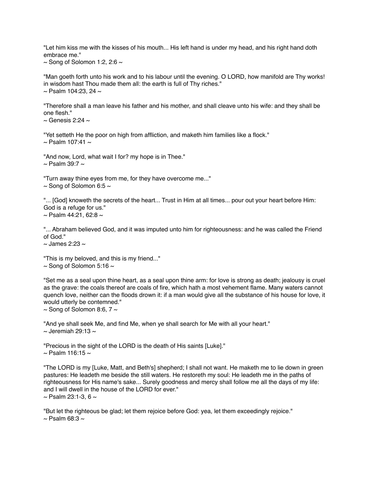"Let him kiss me with the kisses of his mouth... His left hand is under my head, and his right hand doth embrace me."

 $\sim$  Song of Solomon 1:2, 2:6  $\sim$ 

"Man goeth forth unto his work and to his labour until the evening. O LORD, how manifold are Thy works! in wisdom hast Thou made them all: the earth is full of Thy riches."  $\sim$  Psalm 104:23, 24  $\sim$ 

"Therefore shall a man leave his father and his mother, and shall cleave unto his wife: and they shall be one flesh."

 $\sim$  Genesis 2:24  $\sim$ 

"Yet setteth He the poor on high from affliction, and maketh him families like a flock."  $\sim$  Psalm 107:41  $\sim$ 

"And now, Lord, what wait I for? my hope is in Thee."  $\sim$  Psalm 39:7  $\sim$ 

"Turn away thine eyes from me, for they have overcome me..."  $\sim$  Song of Solomon 6:5  $\sim$ 

"... [God] knoweth the secrets of the heart... Trust in Him at all times... pour out your heart before Him: God is a refuge for us."  $\sim$  Psalm 44:21, 62:8  $\sim$ 

"... Abraham believed God, and it was imputed unto him for righteousness: and he was called the Friend of God."

 $\sim$  James 2:23  $\sim$ 

"This is my beloved, and this is my friend..."  $\sim$  Song of Solomon 5:16  $\sim$ 

"Set me as a seal upon thine heart, as a seal upon thine arm: for love is strong as death; jealousy is cruel as the grave: the coals thereof are coals of fire, which hath a most vehement flame. Many waters cannot quench love, neither can the floods drown it: if a man would give all the substance of his house for love, it would utterly be contemned."

 $\sim$  Song of Solomon 8:6, 7  $\sim$ 

"And ye shall seek Me, and find Me, when ye shall search for Me with all your heart."  $\sim$  Jeremiah 29:13  $\sim$ 

"Precious in the sight of the LORD is the death of His saints [Luke]."  $\sim$  Psalm 116:15  $\sim$ 

"The LORD is my [Luke, Matt, and Beth's] shepherd; I shall not want. He maketh me to lie down in green pastures: He leadeth me beside the still waters. He restoreth my soul: He leadeth me in the paths of righteousness for His name's sake... Surely goodness and mercy shall follow me all the days of my life: and I will dwell in the house of the LORD for ever."  $\sim$  Psalm 23:1-3, 6  $\sim$ 

"But let the righteous be glad; let them rejoice before God: yea, let them exceedingly rejoice."  $\sim$  Psalm 68:3  $\sim$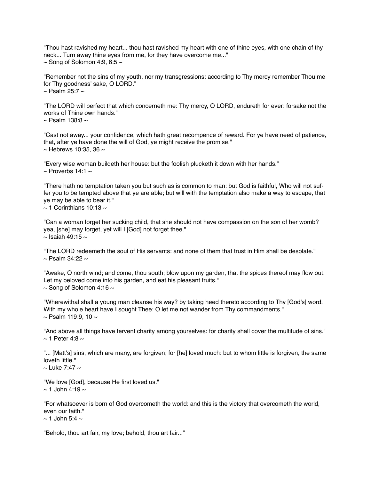"Thou hast ravished my heart... thou hast ravished my heart with one of thine eyes, with one chain of thy neck... Turn away thine eyes from me, for they have overcome me..."  $\sim$  Song of Solomon 4:9, 6:5  $\sim$ 

"Remember not the sins of my youth, nor my transgressions: according to Thy mercy remember Thou me for Thy goodness' sake, O LORD."  $\sim$  Psalm 25:7  $\sim$ 

"The LORD will perfect that which concerneth me: Thy mercy, O LORD, endureth for ever: forsake not the works of Thine own hands."  $\sim$  Psalm 138:8  $\sim$ 

"Cast not away... your confidence, which hath great recompence of reward. For ye have need of patience, that, after ye have done the will of God, ye might receive the promise."  $\sim$  Hebrews 10:35, 36  $\sim$ 

"Every wise woman buildeth her house: but the foolish plucketh it down with her hands."  $\sim$  Proverbs 14:1  $\sim$ 

"There hath no temptation taken you but such as is common to man: but God is faithful, Who will not suffer you to be tempted above that ye are able; but will with the temptation also make a way to escape, that ye may be able to bear it."  $\sim$  1 Corinthians 10:13  $\sim$ 

"Can a woman forget her sucking child, that she should not have compassion on the son of her womb? yea, [she] may forget, yet will I [God] not forget thee."  $\sim$  Isaiah 49:15  $\sim$ 

"The LORD redeemeth the soul of His servants: and none of them that trust in Him shall be desolate."  $\sim$  Psalm 34:22  $\sim$ 

"Awake, O north wind; and come, thou south; blow upon my garden, that the spices thereof may flow out. Let my beloved come into his garden, and eat his pleasant fruits."  $\sim$  Song of Solomon 4:16  $\sim$ 

"Wherewithal shall a young man cleanse his way? by taking heed thereto according to Thy [God's] word. With my whole heart have I sought Thee: O let me not wander from Thy commandments."  $\sim$  Psalm 119:9, 10  $\sim$ 

"And above all things have fervent charity among yourselves: for charity shall cover the multitude of sins."  $\sim$  1 Peter 4:8  $\sim$ 

"... [Matt's] sins, which are many, are forgiven; for [he] loved much: but to whom little is forgiven, the same loveth little."

 $\sim$  Luke 7:47  $\sim$ 

"We love [God], because He first loved us."  $\sim$  1 John 4:19  $\sim$ 

"For whatsoever is born of God overcometh the world: and this is the victory that overcometh the world, even our faith."  $\approx$  1 John 5:4  $\approx$ 

"Behold, thou art fair, my love; behold, thou art fair..."